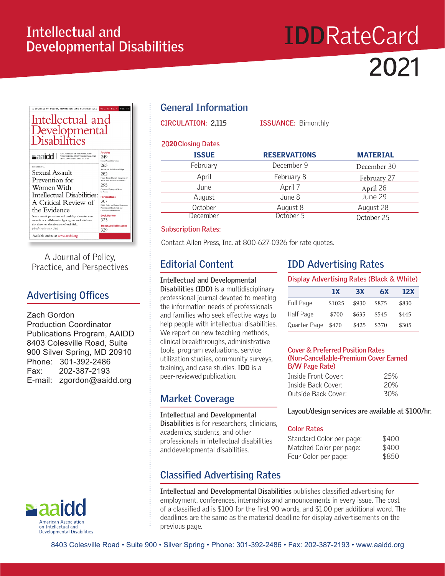## **Intellectual and Developmental Disabilities**

# **IDD**RateCard **20**21



A Journal of Policy, Practice, and Perspectives

## **Advertising Offices**

Zach Gordon

Production Coordinator Publications Program, AAIDD 8403 Colesville Road, Suite 900 Silver Spring, MD 20910 Phone: 301-392-2486 Fax: 202-387-2193 E-mail: zgordon@aaidd.org



## **General Information**

| <b>CIRCULATION: 2,115</b> | <b>ISSUANCE: Bimonthly</b> |                 |  |  |
|---------------------------|----------------------------|-----------------|--|--|
| <b>2020 Closing Dates</b> |                            |                 |  |  |
| <b>ISSUE</b>              | <b>RESERVATIONS</b>        | <b>MATERIAL</b> |  |  |
| February                  | December 9                 | December 30     |  |  |
| April                     | February 8                 | February 27     |  |  |
| June                      | April 7                    | April 26        |  |  |
| August                    | June 8                     | June 29         |  |  |
| October                   | August 8                   | August 28       |  |  |
| December                  | October 5                  | October 25      |  |  |

#### **Subscription Rates:**

Contact Allen Press, Inc. at 800-627-0326 for rate quotes.

## **Editorial Content**

**Intellectual and Developmental Disabilities (IDD)** is a multidisciplinary professional journal devoted to meeting the information needs of professionals and families who seek effective ways to help people with intellectual disabilities. We report on new teaching methods, clinical breakthroughs, administrative tools, program evaluations, service utilization studies, community surveys, training, and case studies. **IDD** is a peer-reviewed publication.

## **Market Coverage**

**Intellectual and Developmental Disabilities** is for researchers, clinicians, academics, students, and other professionals in intellectual disabilities and developmental disabilities.

## **Classified Advertising Rates**

## **IDD Advertising Rates**

| Display Advertising Rates (Black & White) |        |       |       |       |  |
|-------------------------------------------|--------|-------|-------|-------|--|
|                                           | 1X     | 3X    | 6X    | 12X   |  |
| <b>Full Page</b>                          | \$1025 | \$930 | \$875 | \$830 |  |
| Half Page                                 | \$700  | \$635 | \$545 | \$445 |  |
| Quarter Page                              | \$470  | \$425 | \$370 | \$305 |  |

#### **Cover & Preferred Position Rates (Non-Cancellable-Premium Cover Earned B/W Page Rate)**

| Inside Front Cover: | 25% |
|---------------------|-----|
| Inside Back Cover:  | 20% |
| Outside Back Cover: | 30% |

**Layout/design services are available at \$100/hr.**

#### **Color Rates**

| Standard Color per page: | \$400 |
|--------------------------|-------|
| Matched Color per page:  | \$400 |
| Four Color per page:     | \$850 |

**Intellectual and Developmental Disabilities** publishes classified advertising for employment, conferences, internships and announcements in every issue. The cost of a classified ad is \$100 for the first 90 words, and \$1.00 per additional word. The deadlines are the same as the material deadline for display advertisements on the previous page.